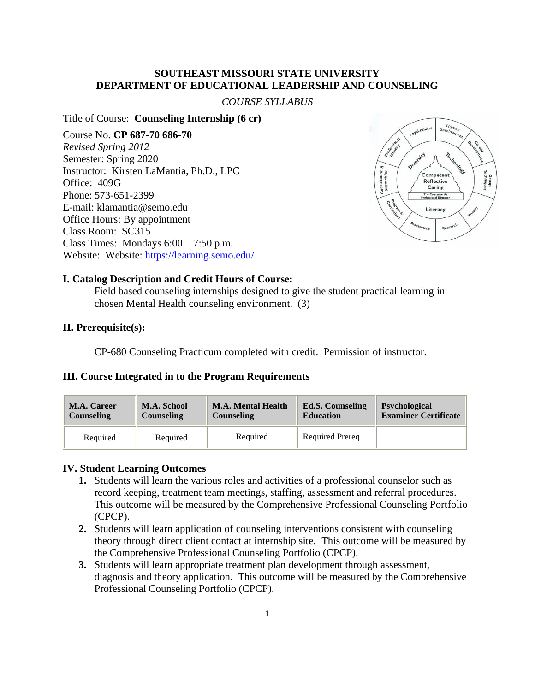#### **SOUTHEAST MISSOURI STATE UNIVERSITY DEPARTMENT OF EDUCATIONAL LEADERSHIP AND COUNSELING**

#### *COURSE SYLLABUS*

#### Title of Course: **Counseling Internship (6 cr)**

Course No. **CP 687-70 686-70** *Revised Spring 2012* Semester: Spring 2020 Instructor: Kirsten LaMantia, Ph.D., LPC Office: 409G Phone: 573-651-2399 E-mail: klamantia@semo.edu Office Hours: By appointment Class Room: SC315 Class Times: Mondays  $6:00 - 7:50$  p.m. Website: Website:<https://learning.semo.edu/>



#### **I. Catalog Description and Credit Hours of Course:**

Field based counseling internships designed to give the student practical learning in chosen Mental Health counseling environment. (3)

#### **II. Prerequisite(s):**

CP-680 Counseling Practicum completed with credit. Permission of instructor.

#### **III. Course Integrated in to the Program Requirements**

| <b>M.A. Career</b> | M.A. School       | <b>M.A. Mental Health</b> | <b>Ed.S. Counseling</b> | <b>Psychological</b>        |
|--------------------|-------------------|---------------------------|-------------------------|-----------------------------|
| <b>Counseling</b>  | <b>Counseling</b> | <b>Counseling</b>         | <b>Education</b>        | <b>Examiner Certificate</b> |
| Required           | Required          | Required                  | Required Prereq.        |                             |

#### **IV. Student Learning Outcomes**

- **1.** Students will learn the various roles and activities of a professional counselor such as record keeping, treatment team meetings, staffing, assessment and referral procedures. This outcome will be measured by the Comprehensive Professional Counseling Portfolio (CPCP).
- **2.** Students will learn application of counseling interventions consistent with counseling theory through direct client contact at internship site. This outcome will be measured by the Comprehensive Professional Counseling Portfolio (CPCP).
- **3.** Students will learn appropriate treatment plan development through assessment, diagnosis and theory application. This outcome will be measured by the Comprehensive Professional Counseling Portfolio (CPCP).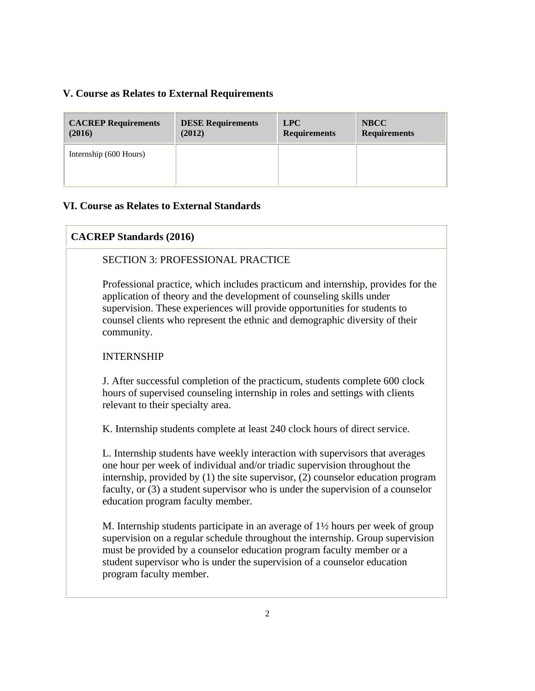## **V. Course as Relates to External Requirements**

| <b>CACREP Requirements</b> | <b>DESE Requirements</b> | <b>LPC</b>          | <b>NBCC</b>         |
|----------------------------|--------------------------|---------------------|---------------------|
| (2016)                     | (2012)                   | <b>Requirements</b> | <b>Requirements</b> |
| Internship (600 Hours)     |                          |                     |                     |

## **VI. Course as Relates to External Standards**

# **CACREP Standards (2016)**

## SECTION 3: PROFESSIONAL PRACTICE

Professional practice, which includes practicum and internship, provides for the application of theory and the development of counseling skills under supervision. These experiences will provide opportunities for students to counsel clients who represent the ethnic and demographic diversity of their community.

## INTERNSHIP

J. After successful completion of the practicum, students complete 600 clock hours of supervised counseling internship in roles and settings with clients relevant to their specialty area.

K. Internship students complete at least 240 clock hours of direct service.

L. Internship students have weekly interaction with supervisors that averages one hour per week of individual and/or triadic supervision throughout the internship, provided by (1) the site supervisor, (2) counselor education program faculty, or (3) a student supervisor who is under the supervision of a counselor education program faculty member.

M. Internship students participate in an average of 1½ hours per week of group supervision on a regular schedule throughout the internship. Group supervision must be provided by a counselor education program faculty member or a student supervisor who is under the supervision of a counselor education program faculty member.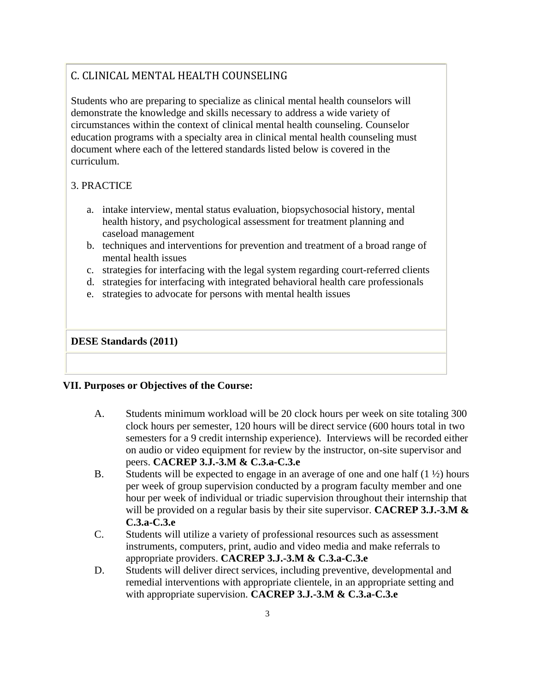# C. CLINICAL MENTAL HEALTH COUNSELING

Students who are preparing to specialize as clinical mental health counselors will demonstrate the knowledge and skills necessary to address a wide variety of circumstances within the context of clinical mental health counseling. Counselor education programs with a specialty area in clinical mental health counseling must document where each of the lettered standards listed below is covered in the curriculum.

# 3. PRACTICE

- a. intake interview, mental status evaluation, biopsychosocial history, mental health history, and psychological assessment for treatment planning and caseload management
- b. techniques and interventions for prevention and treatment of a broad range of mental health issues
- c. strategies for interfacing with the legal system regarding court-referred clients
- d. strategies for interfacing with integrated behavioral health care professionals
- e. strategies to advocate for persons with mental health issues

## **DESE Standards (2011)**

## **VII. Purposes or Objectives of the Course:**

- A. Students minimum workload will be 20 clock hours per week on site totaling 300 clock hours per semester, 120 hours will be direct service (600 hours total in two semesters for a 9 credit internship experience). Interviews will be recorded either on audio or video equipment for review by the instructor, on-site supervisor and peers. **CACREP 3.J.-3.M & C.3.a-C.3.e**
- B. Students will be expected to engage in an average of one and one half  $(1 \frac{1}{2})$  hours per week of group supervision conducted by a program faculty member and one hour per week of individual or triadic supervision throughout their internship that will be provided on a regular basis by their site supervisor. **CACREP 3.J.-3.M & C.3.a-C.3.e**
- C. Students will utilize a variety of professional resources such as assessment instruments, computers, print, audio and video media and make referrals to appropriate providers. **CACREP 3.J.-3.M & C.3.a-C.3.e**
- D. Students will deliver direct services, including preventive, developmental and remedial interventions with appropriate clientele, in an appropriate setting and with appropriate supervision. **CACREP 3.J.-3.M & C.3.a-C.3.e**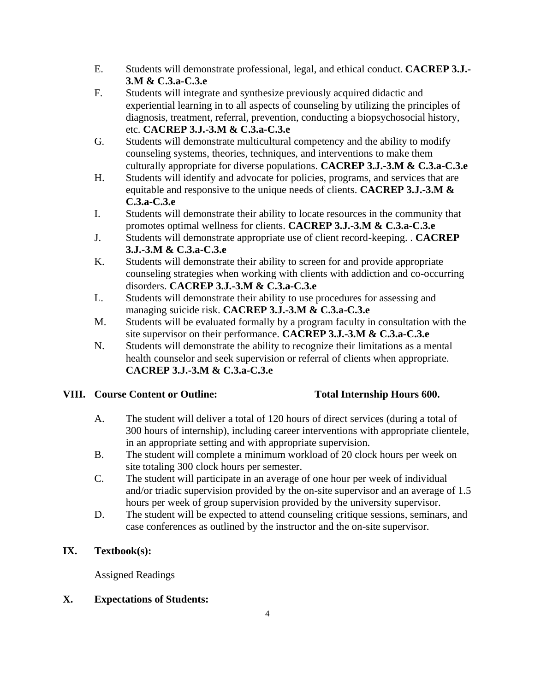- E. Students will demonstrate professional, legal, and ethical conduct. **CACREP 3.J.- 3.M & C.3.a-C.3.e**
- F. Students will integrate and synthesize previously acquired didactic and experiential learning in to all aspects of counseling by utilizing the principles of diagnosis, treatment, referral, prevention, conducting a biopsychosocial history, etc. **CACREP 3.J.-3.M & C.3.a-C.3.e**
- G. Students will demonstrate multicultural competency and the ability to modify counseling systems, theories, techniques, and interventions to make them culturally appropriate for diverse populations. **CACREP 3.J.-3.M & C.3.a-C.3.e**
- H. Students will identify and advocate for policies, programs, and services that are equitable and responsive to the unique needs of clients. **CACREP 3.J.-3.M & C.3.a-C.3.e**
- I. Students will demonstrate their ability to locate resources in the community that promotes optimal wellness for clients. **CACREP 3.J.-3.M & C.3.a-C.3.e**
- J. Students will demonstrate appropriate use of client record-keeping. . **CACREP 3.J.-3.M & C.3.a-C.3.e**
- K. Students will demonstrate their ability to screen for and provide appropriate counseling strategies when working with clients with addiction and co-occurring disorders. **CACREP 3.J.-3.M & C.3.a-C.3.e**
- L. Students will demonstrate their ability to use procedures for assessing and managing suicide risk. **CACREP 3.J.-3.M & C.3.a-C.3.e**
- M. Students will be evaluated formally by a program faculty in consultation with the site supervisor on their performance. **CACREP 3.J.-3.M & C.3.a-C.3.e**
- N. Students will demonstrate the ability to recognize their limitations as a mental health counselor and seek supervision or referral of clients when appropriate. **CACREP 3.J.-3.M & C.3.a-C.3.e**

# **VIII. Course Content or Outline: Total Internship Hours 600.**

- A. The student will deliver a total of 120 hours of direct services (during a total of 300 hours of internship), including career interventions with appropriate clientele, in an appropriate setting and with appropriate supervision.
- B. The student will complete a minimum workload of 20 clock hours per week on site totaling 300 clock hours per semester.
- C. The student will participate in an average of one hour per week of individual and/or triadic supervision provided by the on-site supervisor and an average of 1.5 hours per week of group supervision provided by the university supervisor.
- D. The student will be expected to attend counseling critique sessions, seminars, and case conferences as outlined by the instructor and the on-site supervisor.

# **IX. Textbook(s):**

Assigned Readings

# **X. Expectations of Students:**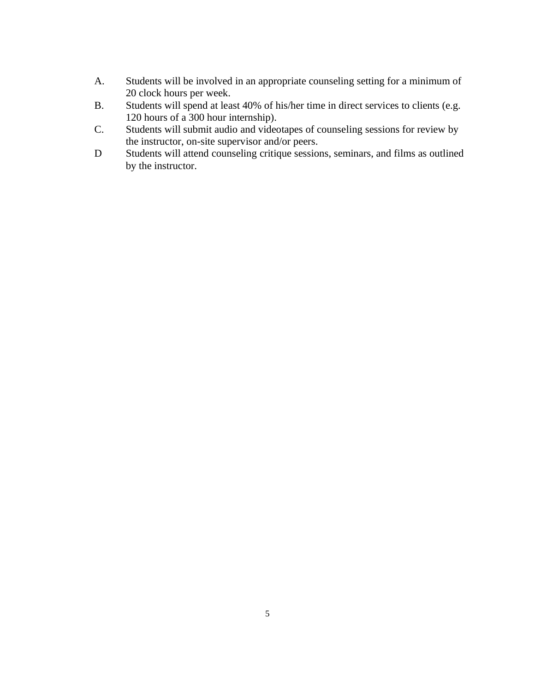- A. Students will be involved in an appropriate counseling setting for a minimum of 20 clock hours per week.
- B. Students will spend at least 40% of his/her time in direct services to clients (e.g. 120 hours of a 300 hour internship).
- C. Students will submit audio and videotapes of counseling sessions for review by the instructor, on-site supervisor and/or peers.
- D Students will attend counseling critique sessions, seminars, and films as outlined by the instructor.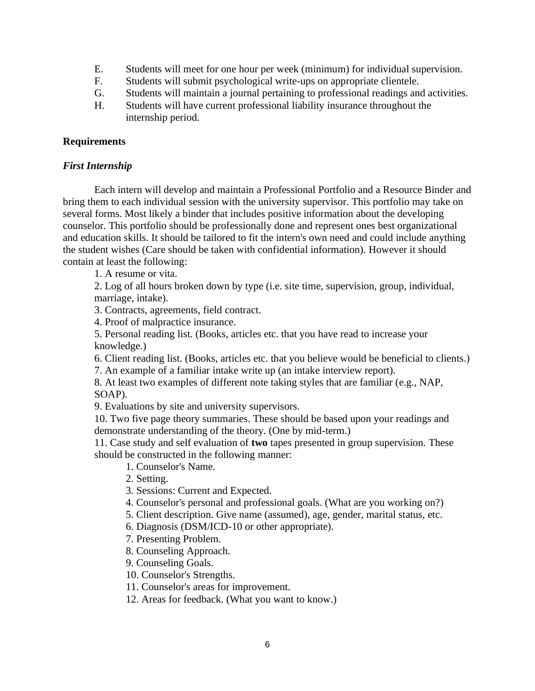- E. Students will meet for one hour per week (minimum) for individual supervision.
- F. Students will submit psychological write-ups on appropriate clientele.
- G. Students will maintain a journal pertaining to professional readings and activities.
- H. Students will have current professional liability insurance throughout the internship period.

## **Requirements**

#### *First Internship*

Each intern will develop and maintain a Professional Portfolio and a Resource Binder and bring them to each individual session with the university supervisor. This portfolio may take on several forms. Most likely a binder that includes positive information about the developing counselor. This portfolio should be professionally done and represent ones best organizational and education skills. It should be tailored to fit the intern's own need and could include anything the student wishes (Care should be taken with confidential information). However it should contain at least the following:

1. A resume or vita.

2. Log of all hours broken down by type (i.e. site time, supervision, group, individual, marriage, intake).

3. Contracts, agreements, field contract.

4. Proof of malpractice insurance.

5. Personal reading list. (Books, articles etc. that you have read to increase your knowledge.)

6. Client reading list. (Books, articles etc. that you believe would be beneficial to clients.)

7. An example of a familiar intake write up (an intake interview report).

8. At least two examples of different note taking styles that are familiar (e.g., NAP, SOAP).

9. Evaluations by site and university supervisors.

10. Two five page theory summaries. These should be based upon your readings and demonstrate understanding of the theory. (One by mid-term.)

11. Case study and self evaluation of **two** tapes presented in group supervision. These should be constructed in the following manner:

1. Counselor's Name.

2. Setting.

3. Sessions: Current and Expected.

4. Counselor's personal and professional goals. (What are you working on?)

5. Client description. Give name (assumed), age, gender, marital status, etc.

6. Diagnosis (DSM/ICD-10 or other appropriate).

7. Presenting Problem.

8. Counseling Approach.

9. Counseling Goals.

10. Counselor's Strengths.

11. Counselor's areas for improvement.

12. Areas for feedback. (What you want to know.)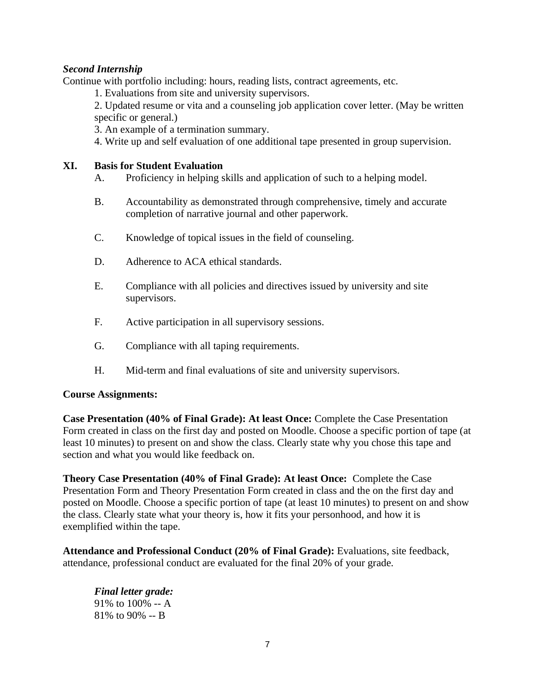# *Second Internship*

Continue with portfolio including: hours, reading lists, contract agreements, etc.

1. Evaluations from site and university supervisors.

2. Updated resume or vita and a counseling job application cover letter. (May be written specific or general.)

3. An example of a termination summary.

4. Write up and self evaluation of one additional tape presented in group supervision.

## **XI. Basis for Student Evaluation**

- A. Proficiency in helping skills and application of such to a helping model.
- B. Accountability as demonstrated through comprehensive, timely and accurate completion of narrative journal and other paperwork.
- C. Knowledge of topical issues in the field of counseling.
- D. Adherence to ACA ethical standards.
- E. Compliance with all policies and directives issued by university and site supervisors.
- F. Active participation in all supervisory sessions.
- G. Compliance with all taping requirements.
- H. Mid-term and final evaluations of site and university supervisors.

#### **Course Assignments:**

**Case Presentation (40% of Final Grade): At least Once:** Complete the Case Presentation Form created in class on the first day and posted on Moodle. Choose a specific portion of tape (at least 10 minutes) to present on and show the class. Clearly state why you chose this tape and section and what you would like feedback on.

**Theory Case Presentation (40% of Final Grade): At least Once:** Complete the Case Presentation Form and Theory Presentation Form created in class and the on the first day and posted on Moodle. Choose a specific portion of tape (at least 10 minutes) to present on and show the class. Clearly state what your theory is, how it fits your personhood, and how it is exemplified within the tape.

**Attendance and Professional Conduct (20% of Final Grade):** Evaluations, site feedback, attendance, professional conduct are evaluated for the final 20% of your grade.

*Final letter grade:* 91% to 100% -- A 81% to 90% -- B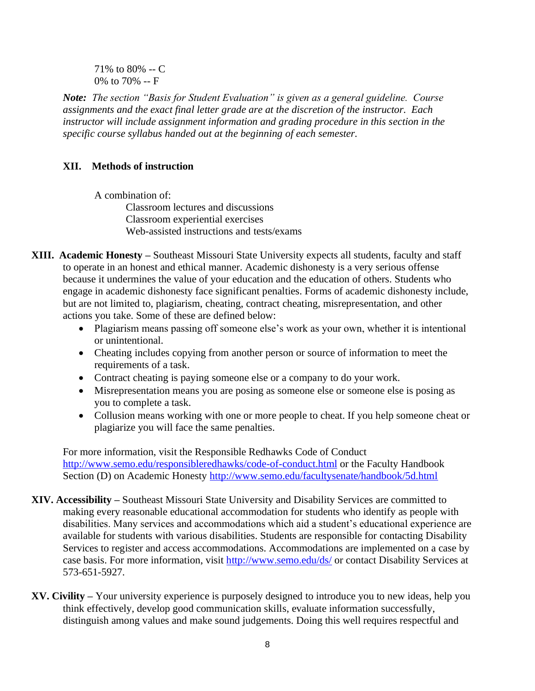71% to 80% -- C 0% to 70% -- F

*Note: The section "Basis for Student Evaluation" is given as a general guideline. Course assignments and the exact final letter grade are at the discretion of the instructor. Each instructor will include assignment information and grading procedure in this section in the specific course syllabus handed out at the beginning of each semester.*

# **XII. Methods of instruction**

A combination of:

Classroom lectures and discussions Classroom experiential exercises Web-assisted instructions and tests/exams

- **XIII. Academic Honesty –** Southeast Missouri State University expects all students, faculty and staff to operate in an honest and ethical manner. Academic dishonesty is a very serious offense because it undermines the value of your education and the education of others. Students who engage in academic dishonesty face significant penalties. Forms of academic dishonesty include, but are not limited to, plagiarism, cheating, contract cheating, misrepresentation, and other actions you take. Some of these are defined below:
	- Plagiarism means passing off someone else's work as your own, whether it is intentional or unintentional.
	- Cheating includes copying from another person or source of information to meet the requirements of a task.
	- Contract cheating is paying someone else or a company to do your work.
	- Misrepresentation means you are posing as someone else or someone else is posing as you to complete a task.
	- Collusion means working with one or more people to cheat. If you help someone cheat or plagiarize you will face the same penalties.

For more information, visit the Responsible Redhawks Code of Conduct <http://www.semo.edu/responsibleredhawks/code-of-conduct.html> or the Faculty Handbook Section (D) on Academic Honesty<http://www.semo.edu/facultysenate/handbook/5d.html>

- **XIV. Accessibility –** Southeast Missouri State University and Disability Services are committed to making every reasonable educational accommodation for students who identify as people with disabilities. Many services and accommodations which aid a student's educational experience are available for students with various disabilities. Students are responsible for contacting Disability Services to register and access accommodations. Accommodations are implemented on a case by case basis. For more information, visit<http://www.semo.edu/ds/> or contact Disability Services at 573-651-5927.
- **XV. Civility –** Your university experience is purposely designed to introduce you to new ideas, help you think effectively, develop good communication skills, evaluate information successfully, distinguish among values and make sound judgements. Doing this well requires respectful and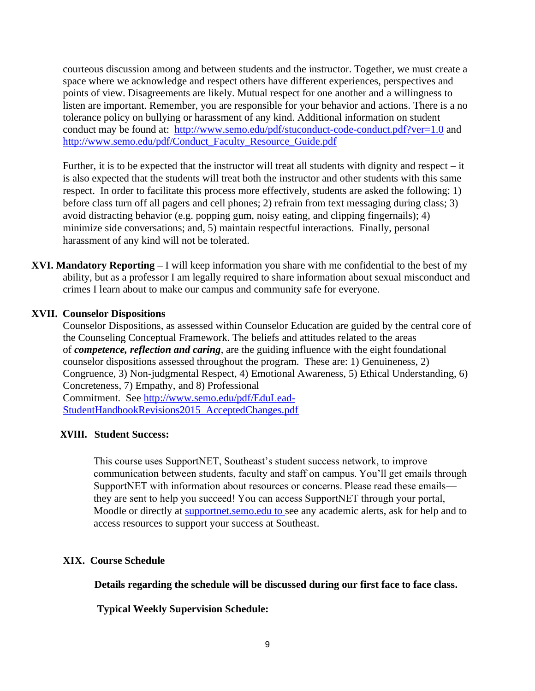courteous discussion among and between students and the instructor. Together, we must create a space where we acknowledge and respect others have different experiences, perspectives and points of view. Disagreements are likely. Mutual respect for one another and a willingness to listen are important. Remember, you are responsible for your behavior and actions. There is a no tolerance policy on bullying or harassment of any kind. Additional information on student conduct may be found at: <http://www.semo.edu/pdf/stuconduct-code-conduct.pdf?ver=1.0> and [http://www.semo.edu/pdf/Conduct\\_Faculty\\_Resource\\_Guide.pdf](http://www.semo.edu/pdf/Conduct_Faculty_Resource_Guide.pdf)

Further, it is to be expected that the instructor will treat all students with dignity and respect – it is also expected that the students will treat both the instructor and other students with this same respect. In order to facilitate this process more effectively, students are asked the following: 1) before class turn off all pagers and cell phones; 2) refrain from text messaging during class; 3) avoid distracting behavior (e.g. popping gum, noisy eating, and clipping fingernails); 4) minimize side conversations; and, 5) maintain respectful interactions. Finally, personal harassment of any kind will not be tolerated.

**XVI. Mandatory Reporting –** I will keep information you share with me confidential to the best of my ability, but as a professor I am legally required to share information about sexual misconduct and crimes I learn about to make our campus and community safe for everyone.

#### **XVII. Counselor Dispositions**

Counselor Dispositions, as assessed within Counselor Education are guided by the central core of the Counseling Conceptual Framework. The beliefs and attitudes related to the areas of *competence, reflection and caring*, are the guiding influence with the eight foundational counselor dispositions assessed throughout the program. These are: 1) Genuineness, 2) Congruence, 3) Non-judgmental Respect, 4) Emotional Awareness, 5) Ethical Understanding, 6) Concreteness, 7) Empathy, and 8) Professional Commitment. See [http://www.semo.edu/pdf/EduLead-](https://exchange2010.semo.edu/owa/redir.aspx?SURL=2GupHz4GuED-_NtCNM3cgIEpqTSFfV4WYHRDQKe_SeSFwmzBIiHTCGgAdAB0AHAAOgAvAC8AdwB3AHcALgBzAGUAbQBvAC4AZQBkAHUALwBwAGQAZgAvAEUAZAB1AEwAZQBhAGQALQBTAHQAdQBkAGUAbgB0AEgAYQBuAGQAYgBvAG8AawBSAGUAdgBpAHMAaQBvAG4AcwAyADAAMQA1AF8AQQBjAGMAZQBwAHQAZQBkAEMAaABhAG4AZwBlAHMALgBwAGQAZgA.&URL=http%3a%2f%2fwww.semo.edu%2fpdf%2fEduLead-StudentHandbookRevisions2015_AcceptedChanges.pdf)

[StudentHandbookRevisions2015\\_AcceptedChanges.pdf](https://exchange2010.semo.edu/owa/redir.aspx?SURL=2GupHz4GuED-_NtCNM3cgIEpqTSFfV4WYHRDQKe_SeSFwmzBIiHTCGgAdAB0AHAAOgAvAC8AdwB3AHcALgBzAGUAbQBvAC4AZQBkAHUALwBwAGQAZgAvAEUAZAB1AEwAZQBhAGQALQBTAHQAdQBkAGUAbgB0AEgAYQBuAGQAYgBvAG8AawBSAGUAdgBpAHMAaQBvAG4AcwAyADAAMQA1AF8AQQBjAGMAZQBwAHQAZQBkAEMAaABhAG4AZwBlAHMALgBwAGQAZgA.&URL=http%3a%2f%2fwww.semo.edu%2fpdf%2fEduLead-StudentHandbookRevisions2015_AcceptedChanges.pdf)

## **XVIII. Student Success:**

This course uses SupportNET, Southeast's student success network, to improve communication between students, faculty and staff on campus. You'll get emails through SupportNET with information about resources or concerns. Please read these emails they are sent to help you succeed! You can access SupportNET through your portal, Moodle or directly at supportnet.semo.edu to see any academic alerts, ask for help and to access resources to support your success at Southeast.

## **XIX. Course Schedule**

**Details regarding the schedule will be discussed during our first face to face class.**

**Typical Weekly Supervision Schedule:**